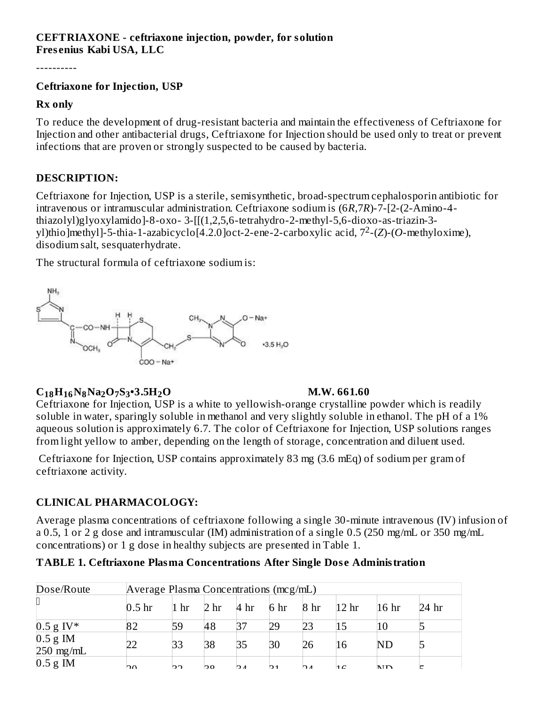# **CEFTRIAXONE - ceftriaxone injection, powder, for solution Fres enius Kabi USA, LLC**

----------

#### **Ceftriaxone for Injection, USP**

#### **Rx only**

To reduce the development of drug-resistant bacteria and maintain the effectiveness of Ceftriaxone for Injection and other antibacterial drugs, Ceftriaxone for Injection should be used only to treat or prevent infections that are proven or strongly suspected to be caused by bacteria.

#### **DESCRIPTION:**

Ceftriaxone for Injection, USP is a sterile, semisynthetic, broad-spectrum cephalosporin antibiotic for intravenous or intramuscular administration. Ceftriaxone sodium is (6*R*,7*R*)-7-[2-(2-Amino-4 thiazolyl)glyoxylamido]-8-oxo- 3-[[(1,2,5,6-tetrahydro-2-methyl-5,6-dioxo-as-triazin-3 yl)thio]methyl]-5-thia-1-azabicyclo[4.2.0]oct-2-ene-2-carboxylic acid, 7<sup>2</sup>-(*Z*)-(*O-methyloxime*), disodium salt, sesquaterhydrate.

The structural formula of ceftriaxone sodium is:



# **C H N Na O S •3.5H O M.W. 661.60 18 16 8 2 7 3 2**

Ceftriaxone for Injection, USP is a white to yellowish-orange crystalline powder which is readily soluble in water, sparingly soluble in methanol and very slightly soluble in ethanol. The pH of a 1% aqueous solution is approximately 6.7. The color of Ceftriaxone for Injection, USP solutions ranges from light yellow to amber, depending on the length of storage, concentration and diluent used.

Ceftriaxone for Injection, USP contains approximately 83 mg (3.6 mEq) of sodium per gram of ceftriaxone activity.

#### **CLINICAL PHARMACOLOGY:**

Average plasma concentrations of ceftriaxone following a single 30-minute intravenous (IV) infusion of a 0.5, 1 or 2 g dose and intramuscular (IM) administration of a single 0.5 (250 mg/mL or 350 mg/mL concentrations) or 1 g dose in healthy subjects are presented in Table 1.

| <b>TABLE 1. Ceftriaxone Plasma Concentrations After Single Dose Administration</b> |  |
|------------------------------------------------------------------------------------|--|
|------------------------------------------------------------------------------------|--|

| Dose/Route                | Average Plasma Concentrations (mcg/mL) |                    |                 |                 |                 |                           |                  |                  |         |
|---------------------------|----------------------------------------|--------------------|-----------------|-----------------|-----------------|---------------------------|------------------|------------------|---------|
|                           | 0.5 <sub>hr</sub>                      | $1 \; \mathrm{hr}$ | 2 <sub>hr</sub> | 4 <sup>hr</sup> | 6 <sub>hr</sub> | 8 <sub>hr</sub>           | 12 <sub>hr</sub> | 16 <sub>hr</sub> | $24$ hr |
| $0.5$ g IV*               | 82                                     | 59                 | 48              | 37              | 29              | 23                        | 15               | 10               |         |
| $0.5 g$ IM<br>$250$ mg/mL |                                        | 33                 | 38              | 35              | 30              | 26                        | 16               | ND               |         |
| $0.5$ g IM                | nn                                     | רכו                | bο              | $\mathbf{A}$    | IO 1            | $\mathsf{D}$ $\mathsf{A}$ | 1C               | <b>NID</b>       |         |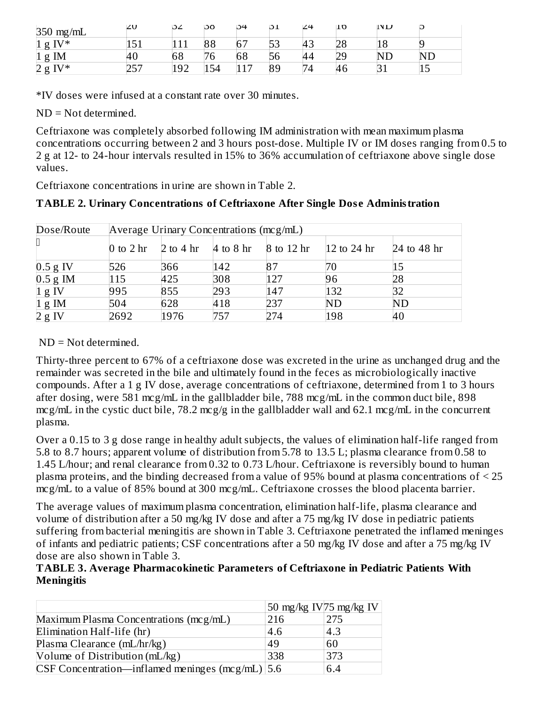| $350$ mg/mL              | ∠∪       | ∠ت         | ιsσ | 54             | IJΙ           | 24             | 10 | $\mathsf{IV} \mathsf{D}$ |           |
|--------------------------|----------|------------|-----|----------------|---------------|----------------|----|--------------------------|-----------|
| $IV^*$<br>1 <sub>g</sub> | ∽<br>⊥∪⊥ |            | 88  | 67             | $ \sim$<br>b3 | 43             | 28 | 10                       |           |
| IM<br>1 <sub>g</sub>     | -40      | 68         | 76  | 68             | 56            | 44             | 29 | NΓ                       | <b>ND</b> |
| $IV*$<br>2g              | . ب      | 1ดว<br>⊥J∠ | 154 | 1 <sub>7</sub> | 89            | $\overline{4}$ | 46 |                          | ⊥∪        |

\*IV doses were infused at a constant rate over 30 minutes.

ND = Not determined.

Ceftriaxone was completely absorbed following IM administration with mean maximum plasma concentrations occurring between 2 and 3 hours post-dose. Multiple IV or IM doses ranging from 0.5 to 2 g at 12- to 24-hour intervals resulted in 15% to 36% accumulation of ceftriaxone above single dose values.

Ceftriaxone concentrations in urine are shown in Table 2.

**TABLE 2. Urinary Concentrations of Ceftriaxone After Single Dos e Administration**

| Dose/Route       |             | Average Urinary Concentrations (mcg/mL) |               |            |                   |                   |  |  |
|------------------|-------------|-----------------------------------------|---------------|------------|-------------------|-------------------|--|--|
|                  | 0 to 2 $hr$ | 2 to 4 $\rm hr$                         | $4$ to $8$ hr | 8 to 12 hr | 12 to 24 $\rm hr$ | 24 to 48 $\rm hr$ |  |  |
| $0.5$ g IV       | 526         | 366                                     | 142           | 87         | 70                |                   |  |  |
| $0.5$ g IM       | 115         | 425                                     | 308           | 127        | 96                | 28                |  |  |
| $1 \text{ g IV}$ | 995         | 855                                     | 293           | 147        | 132               |                   |  |  |
| $1 g$ IM         | 504         | 628                                     | 418           | 237        | <b>ND</b>         | ND                |  |  |
| 2 g IV           | 2692        | 1976                                    | 757           | 274        | 198               | 40                |  |  |

#### ND = Not determined.

Thirty-three percent to 67% of a ceftriaxone dose was excreted in the urine as unchanged drug and the remainder was secreted in the bile and ultimately found in the feces as microbiologically inactive compounds. After a 1 g IV dose, average concentrations of ceftriaxone, determined from 1 to 3 hours after dosing, were 581 mcg/mL in the gallbladder bile, 788 mcg/mL in the common duct bile, 898 mcg/mL in the cystic duct bile, 78.2 mcg/g in the gallbladder wall and 62.1 mcg/mL in the concurrent plasma.

Over a 0.15 to 3 g dose range in healthy adult subjects, the values of elimination half-life ranged from 5.8 to 8.7 hours; apparent volume of distribution from 5.78 to 13.5 L; plasma clearance from 0.58 to 1.45 L/hour; and renal clearance from 0.32 to 0.73 L/hour. Ceftriaxone is reversibly bound to human plasma proteins, and the binding decreased from a value of 95% bound at plasma concentrations of < 25 mcg/mL to a value of 85% bound at 300 mcg/mL. Ceftriaxone crosses the blood placenta barrier.

The average values of maximum plasma concentration, elimination half-life, plasma clearance and volume of distribution after a 50 mg/kg IV dose and after a 75 mg/kg IV dose in pediatric patients suffering from bacterial meningitis are shown in Table 3. Ceftriaxone penetrated the inflamed meninges of infants and pediatric patients; CSF concentrations after a 50 mg/kg IV dose and after a 75 mg/kg IV dose are also shown in Table 3.

#### **TABLE 3. Average Pharmacokinetic Parameters of Ceftriaxone in Pediatric Patients With Meningitis**

|                                                       | 50 mg/kg IV 75 mg/kg IV |     |
|-------------------------------------------------------|-------------------------|-----|
| Maximum Plasma Concentrations (mcg/mL)                | 216                     | 275 |
| Elimination Half-life (hr)                            | 4.6                     | 4.3 |
| Plasma Clearance (mL/hr/kg)                           | 49                      | 60  |
| Volume of Distribution $(mL/kg)$                      | 338                     | 373 |
| $CSF$ Concentration—inflamed meninges (mcg/mL) $ 5.6$ |                         | 6.4 |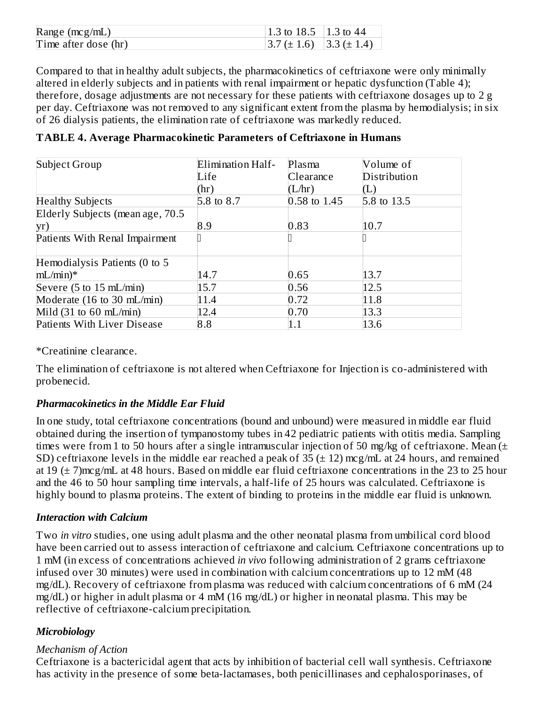| Range $(mcg/mL)$     | 1.3 to 18.5   1.3 to 44          |  |
|----------------------|----------------------------------|--|
| Time after dose (hr) | $ 3.7 (\pm 1.6)   3.3 (\pm 1.4)$ |  |

Compared to that in healthy adult subjects, the pharmacokinetics of ceftriaxone were only minimally altered in elderly subjects and in patients with renal impairment or hepatic dysfunction (Table 4); therefore, dosage adjustments are not necessary for these patients with ceftriaxone dosages up to 2 g per day. Ceftriaxone was not removed to any significant extent from the plasma by hemodialysis; in six of 26 dialysis patients, the elimination rate of ceftriaxone was markedly reduced.

| Subject Group                             | Elimination Half- | Plasma         | Volume of    |
|-------------------------------------------|-------------------|----------------|--------------|
|                                           | Life              | Clearance      | Distribution |
|                                           | (hr)              | (L/hr)         |              |
| <b>Healthy Subjects</b>                   | 5.8 to 8.7        | $0.58$ to 1.45 | 5.8 to 13.5  |
| Elderly Subjects (mean age, 70.5          |                   |                |              |
| yr)                                       | 8.9               | 0.83           | 10.7         |
| Patients With Renal Impairment            |                   |                |              |
| Hemodialysis Patients (0 to 5             |                   |                |              |
| $mL/min)*$                                | 14.7              | 0.65           | 13.7         |
| Severe (5 to 15 mL/min)                   | 15.7              | 0.56           | 12.5         |
| Moderate (16 to 30 mL/min)                | 11.4              | 0.72           | 11.8         |
| Mild $(31 \text{ to } 60 \text{ mL/min})$ | 12.4              | 0.70           | 13.3         |
| Patients With Liver Disease               | 8.8               | 1.1            | 13.6         |

**TABLE 4. Average Pharmacokinetic Parameters of Ceftriaxone in Humans**

\*Creatinine clearance.

The elimination of ceftriaxone is not altered when Ceftriaxone for Injection is co-administered with probenecid.

#### *Pharmacokinetics in the Middle Ear Fluid*

In one study, total ceftriaxone concentrations (bound and unbound) were measured in middle ear fluid obtained during the insertion of tympanostomy tubes in 42 pediatric patients with otitis media. Sampling times were from 1 to 50 hours after a single intramuscular injection of 50 mg/kg of ceftriaxone. Mean  $(±$ SD) ceftriaxone levels in the middle ear reached a peak of  $35 (\pm 12)$  mcg/mL at 24 hours, and remained at 19  $(\pm 7)$ mcg/mL at 48 hours. Based on middle ear fluid ceftriaxone concentrations in the 23 to 25 hour and the 46 to 50 hour sampling time intervals, a half-life of 25 hours was calculated. Ceftriaxone is highly bound to plasma proteins. The extent of binding to proteins in the middle ear fluid is unknown.

#### *Interaction with Calcium*

Two *in vitro* studies, one using adult plasma and the other neonatal plasma from umbilical cord blood have been carried out to assess interaction of ceftriaxone and calcium. Ceftriaxone concentrations up to 1 mM (in excess of concentrations achieved *in vivo* following administration of 2 grams ceftriaxone infused over 30 minutes) were used in combination with calcium concentrations up to 12 mM (48 mg/dL). Recovery of ceftriaxone from plasma was reduced with calcium concentrations of 6 mM (24 mg/dL) or higher in adult plasma or 4 mM (16 mg/dL) or higher in neonatal plasma. This may be reflective of ceftriaxone-calcium precipitation.

# *Microbiology*

#### *Mechanism of Action*

Ceftriaxone is a bactericidal agent that acts by inhibition of bacterial cell wall synthesis. Ceftriaxone has activity in the presence of some beta-lactamases, both penicillinases and cephalosporinases, of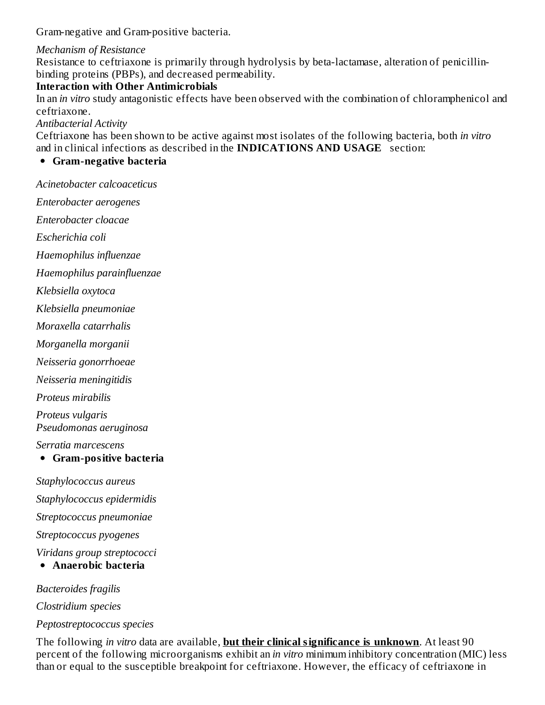Gram-negative and Gram-positive bacteria.

#### *Mechanism of Resistance*

Resistance to ceftriaxone is primarily through hydrolysis by beta-lactamase, alteration of penicillinbinding proteins (PBPs), and decreased permeability.

#### **Interaction with Other Antimicrobials**

In an *in vitro* study antagonistic effects have been observed with the combination of chloramphenicol and ceftriaxone.

*Antibacterial Activity*

Ceftriaxone has been shown to be active against most isolates of the following bacteria, both *in vitro* and in clinical infections as described in the **INDICATIONS AND USAGE** section:

### **Gram-negative bacteria**

*Acinetobacter calcoaceticus*

*Enterobacter aerogenes*

*Enterobacter cloacae*

*Escherichia coli*

*Haemophilus influenzae*

*Haemophilus parainfluenzae*

*Klebsiella oxytoca*

*Klebsiella pneumoniae*

*Moraxella catarrhalis*

*Morganella morganii*

*Neisseria gonorrhoeae*

*Neisseria meningitidis*

*Proteus mirabilis*

*Proteus vulgaris*

*Pseudomonas aeruginosa*

*Serratia marcescens*

#### **Gram-positive bacteria**

*Staphylococcus aureus*

*Staphylococcus epidermidis*

*Streptococcus pneumoniae*

*Streptococcus pyogenes*

*Viridans group streptococci*

**Anaerobic bacteria**

*Bacteroides fragilis*

*Clostridium species*

*Peptostreptococcus species*

The following *in vitro* data are available, **but their clinical significance is unknown**. At least 90 percent of the following microorganisms exhibit an *in vitro* minimum inhibitory concentration (MIC) less than or equal to the susceptible breakpoint for ceftriaxone. However, the efficacy of ceftriaxone in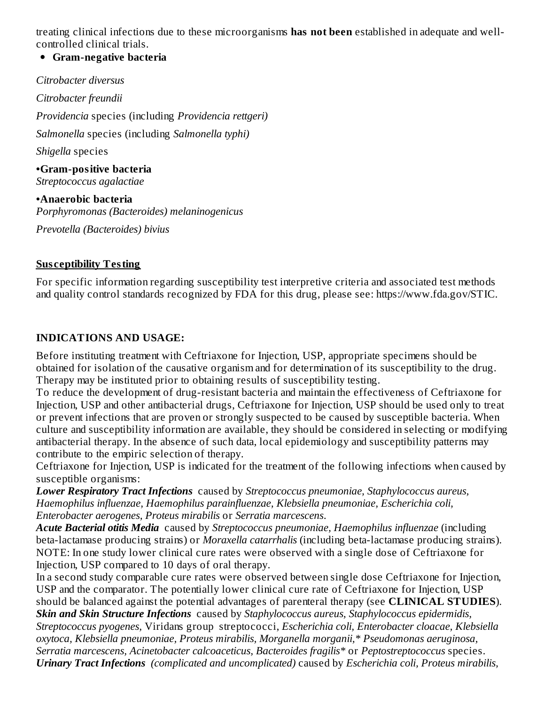treating clinical infections due to these microorganisms **has not been** established in adequate and wellcontrolled clinical trials.

#### **Gram-negative bacteria**

*Citrobacter diversus Citrobacter freundii Providencia* species (including *Providencia rettgeri) Salmonella* species (including *Salmonella typhi) Shigella* species **•Gram-positive bacteria** *Streptococcus agalactiae* **•Anaerobic bacteria** *Porphyromonas (Bacteroides) melaninogenicus*

*Prevotella (Bacteroides) bivius*

#### **Sus ceptibility Testing**

For specific information regarding susceptibility test interpretive criteria and associated test methods and quality control standards recognized by FDA for this drug, please see: https://www.fda.gov/STIC.

#### **INDICATIONS AND USAGE:**

Before instituting treatment with Ceftriaxone for Injection, USP, appropriate specimens should be obtained for isolation of the causative organism and for determination of its susceptibility to the drug. Therapy may be instituted prior to obtaining results of susceptibility testing.

To reduce the development of drug-resistant bacteria and maintain the effectiveness of Ceftriaxone for Injection, USP and other antibacterial drugs, Ceftriaxone for Injection, USP should be used only to treat or prevent infections that are proven or strongly suspected to be caused by susceptible bacteria. When culture and susceptibility information are available, they should be considered in selecting or modifying antibacterial therapy. In the absence of such data, local epidemiology and susceptibility patterns may contribute to the empiric selection of therapy.

Ceftriaxone for Injection, USP is indicated for the treatment of the following infections when caused by susceptible organisms:

*Lower Respiratory Tract Infections* caused by *Streptococcus pneumoniae, Staphylococcus aureus, Haemophilus influenzae, Haemophilus parainfluenzae, Klebsiella pneumoniae, Escherichia coli, Enterobacter aerogenes, Proteus mirabilis* or *Serratia marcescens*.

*Acute Bacterial otitis Media* caused by *Streptococcus pneumoniae, Haemophilus influenzae* (including beta-lactamase producing strains) or *Moraxella catarrhalis* (including beta-lactamase producing strains). NOTE: In one study lower clinical cure rates were observed with a single dose of Ceftriaxone for Injection, USP compared to 10 days of oral therapy.

In a second study comparable cure rates were observed between single dose Ceftriaxone for Injection, USP and the comparator. The potentially lower clinical cure rate of Ceftriaxone for Injection, USP should be balanced against the potential advantages of parenteral therapy (see **CLINICAL STUDIES**). *Skin and Skin Structure Infections* caused by *Staphylococcus aureus, Staphylococcus epidermidis, Streptococcus pyogenes,* Viridans group streptococci, *Escherichia coli, Enterobacter cloacae, Klebsiella oxytoca, Klebsiella pneumoniae, Proteus mirabilis, Morganella morganii,\* Pseudomonas aeruginosa, Serratia marcescens, Acinetobacter calcoaceticus, Bacteroides fragilis\** or *Peptostreptococcus* species. *Urinary Tract Infections (complicated and uncomplicated)* caused by *Escherichia coli, Proteus mirabilis,*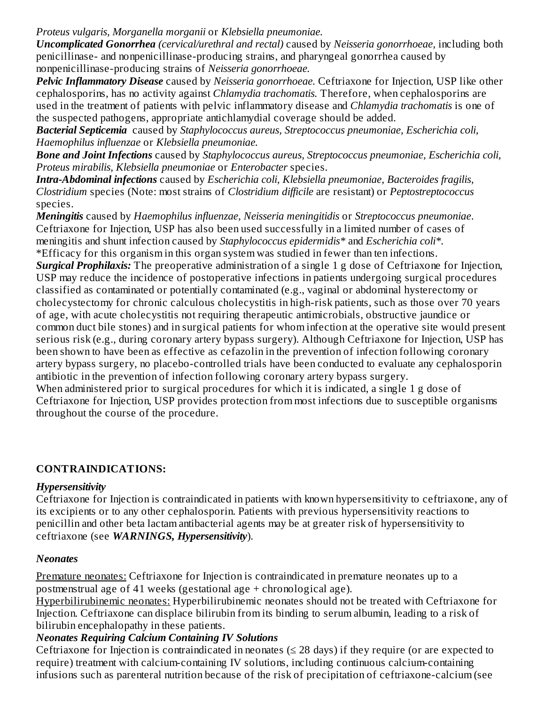*Proteus vulgaris, Morganella morganii* or *Klebsiella pneumoniae.*

*Uncomplicated Gonorrhea (cervical/urethral and rectal)* caused by *Neisseria gonorrhoeae,* including both penicillinase- and nonpenicillinase-producing strains, and pharyngeal gonorrhea caused by nonpenicillinase-producing strains of *Neisseria gonorrhoeae.*

*Pelvic Inflammatory Disease* caused by *Neisseria gonorrhoeae.* Ceftriaxone for Injection, USP like other cephalosporins, has no activity against *Chlamydia trachomatis.* Therefore, when cephalosporins are used in the treatment of patients with pelvic inflammatory disease and *Chlamydia trachomatis* is one of the suspected pathogens, appropriate antichlamydial coverage should be added.

*Bacterial Septicemia* caused by *Staphylococcus aureus, Streptococcus pneumoniae, Escherichia coli, Haemophilus influenzae* or *Klebsiella pneumoniae.*

*Bone and Joint Infections* caused by *Staphylococcus aureus, Streptococcus pneumoniae, Escherichia coli, Proteus mirabilis, Klebsiella pneumoniae* or *Enterobacter* species.

*Intra-Abdominal infections* caused by *Escherichia coli, Klebsiella pneumoniae, Bacteroides fragilis, Clostridium* species (Note: most strains of *Clostridium difficile* are resistant) or *Peptostreptococcus* species.

*Meningitis* caused by *Haemophilus influenzae, Neisseria meningitidis* or *Streptococcus pneumoniae*. Ceftriaxone for Injection, USP has also been used successfully in a limited number of cases of meningitis and shunt infection caused by *Staphylococcus epidermidis\** and *Escherichia coli\*.* \*Efficacy for this organism in this organ system was studied in fewer than ten infections.

*Surgical Prophilaxis:* The preoperative administration of a single 1 g dose of Ceftriaxone for Injection, USP may reduce the incidence of postoperative infections in patients undergoing surgical procedures classified as contaminated or potentially contaminated (e.g., vaginal or abdominal hysterectomy or cholecystectomy for chronic calculous cholecystitis in high-risk patients, such as those over 70 years of age, with acute cholecystitis not requiring therapeutic antimicrobials, obstructive jaundice or common duct bile stones) and in surgical patients for whom infection at the operative site would present serious risk (e.g., during coronary artery bypass surgery). Although Ceftriaxone for Injection, USP has been shown to have been as effective as cefazolin in the prevention of infection following coronary artery bypass surgery, no placebo-controlled trials have been conducted to evaluate any cephalosporin antibiotic in the prevention of infection following coronary artery bypass surgery.

When administered prior to surgical procedures for which it is indicated, a single 1 g dose of Ceftriaxone for Injection, USP provides protection from most infections due to susceptible organisms throughout the course of the procedure.

# **CONTRAINDICATIONS:**

#### *Hypersensitivity*

Ceftriaxone for Injection is contraindicated in patients with known hypersensitivity to ceftriaxone, any of its excipients or to any other cephalosporin. Patients with previous hypersensitivity reactions to penicillin and other beta lactam antibacterial agents may be at greater risk of hypersensitivity to ceftriaxone (see *WARNINGS, Hypersensitivity*).

# *Neonates*

Premature neonates: Ceftriaxone for Injection is contraindicated in premature neonates up to a postmenstrual age of 41 weeks (gestational age + chronological age).

Hyperbilirubinemic neonates: Hyperbilirubinemic neonates should not be treated with Ceftriaxone for Injection. Ceftriaxone can displace bilirubin from its binding to serum albumin, leading to a risk of bilirubin encephalopathy in these patients.

# *Neonates Requiring Calcium Containing IV Solutions*

Ceftriaxone for Injection is contraindicated in neonates  $(\leq 28 \text{ days})$  if they require (or are expected to require) treatment with calcium-containing IV solutions, including continuous calcium-containing infusions such as parenteral nutrition because of the risk of precipitation of ceftriaxone-calcium (see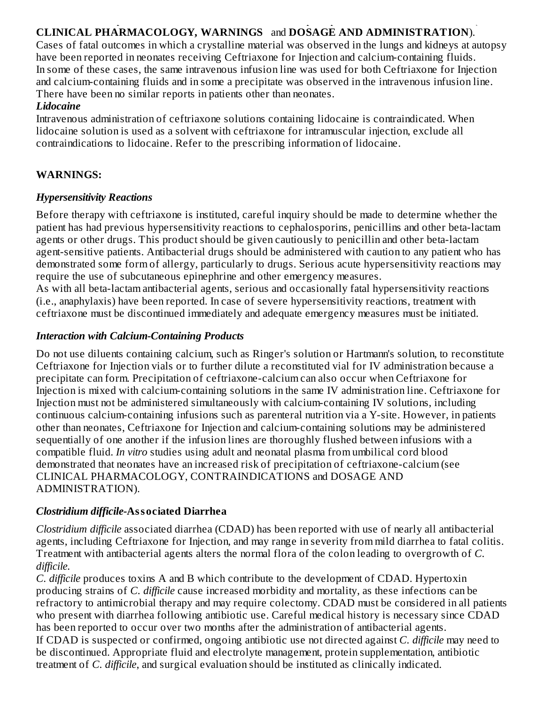#### infusions such as parenteral nutrition because of the risk of precipitation of ceftriaxone-calcium (see **CLINICAL PHARMACOLOGY, WARNINGS** and **DOSAGE AND ADMINISTRATION**).

Cases of fatal outcomes in which a crystalline material was observed in the lungs and kidneys at autopsy have been reported in neonates receiving Ceftriaxone for Injection and calcium-containing fluids. In some of these cases, the same intravenous infusion line was used for both Ceftriaxone for Injection and calcium-containing fluids and in some a precipitate was observed in the intravenous infusion line. There have been no similar reports in patients other than neonates.

#### *Lidocaine*

Intravenous administration of ceftriaxone solutions containing lidocaine is contraindicated. When lidocaine solution is used as a solvent with ceftriaxone for intramuscular injection, exclude all contraindications to lidocaine. Refer to the prescribing information of lidocaine.

### **WARNINGS:**

#### *Hypersensitivity Reactions*

Before therapy with ceftriaxone is instituted, careful inquiry should be made to determine whether the patient has had previous hypersensitivity reactions to cephalosporins, penicillins and other beta-lactam agents or other drugs. This product should be given cautiously to penicillin and other beta-lactam agent-sensitive patients. Antibacterial drugs should be administered with caution to any patient who has demonstrated some form of allergy, particularly to drugs. Serious acute hypersensitivity reactions may require the use of subcutaneous epinephrine and other emergency measures.

As with all beta-lactam antibacterial agents, serious and occasionally fatal hypersensitivity reactions (i.e., anaphylaxis) have been reported. In case of severe hypersensitivity reactions, treatment with ceftriaxone must be discontinued immediately and adequate emergency measures must be initiated.

# *Interaction with Calcium-Containing Products*

Do not use diluents containing calcium, such as Ringer's solution or Hartmann's solution, to reconstitute Ceftriaxone for Injection vials or to further dilute a reconstituted vial for IV administration because a precipitate can form. Precipitation of ceftriaxone-calcium can also occur when Ceftriaxone for Injection is mixed with calcium-containing solutions in the same IV administration line. Ceftriaxone for Injection must not be administered simultaneously with calcium-containing IV solutions, including continuous calcium-containing infusions such as parenteral nutrition via a Y-site. However, in patients other than neonates, Ceftriaxone for Injection and calcium-containing solutions may be administered sequentially of one another if the infusion lines are thoroughly flushed between infusions with a compatible fluid. *In vitro* studies using adult and neonatal plasma from umbilical cord blood demonstrated that neonates have an increased risk of precipitation of ceftriaxone-calcium (see CLINICAL PHARMACOLOGY, CONTRAINDICATIONS and DOSAGE AND ADMINISTRATION).

# *Clostridium difficile-***Associated Diarrhea**

*Clostridium difficile* associated diarrhea (CDAD) has been reported with use of nearly all antibacterial agents, including Ceftriaxone for Injection, and may range in severity from mild diarrhea to fatal colitis. Treatment with antibacterial agents alters the normal flora of the colon leading to overgrowth of *C. difficile.*

*C. difficile* produces toxins A and B which contribute to the development of CDAD. Hypertoxin producing strains of *C. difficile* cause increased morbidity and mortality, as these infections can be refractory to antimicrobial therapy and may require colectomy. CDAD must be considered in all patients who present with diarrhea following antibiotic use. Careful medical history is necessary since CDAD has been reported to occur over two months after the administration of antibacterial agents. If CDAD is suspected or confirmed, ongoing antibiotic use not directed against *C. difficile* may need to be discontinued. Appropriate fluid and electrolyte management, protein supplementation, antibiotic treatment of *C. difficile*, and surgical evaluation should be instituted as clinically indicated.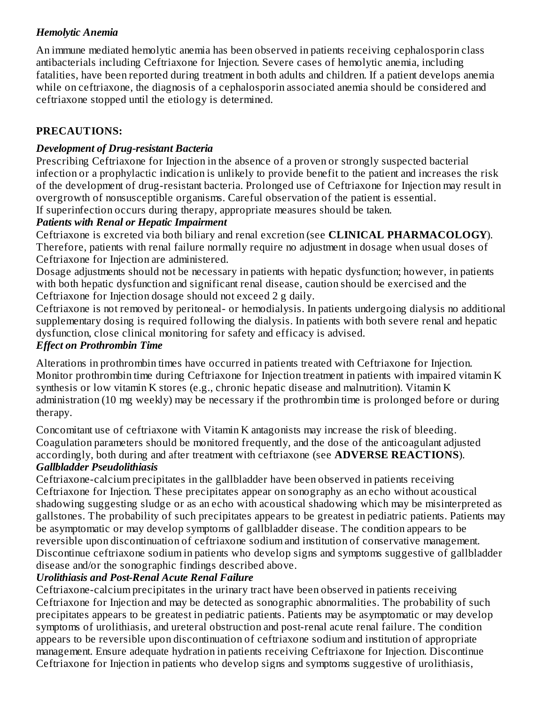# *Hemolytic Anemia*

An immune mediated hemolytic anemia has been observed in patients receiving cephalosporin class antibacterials including Ceftriaxone for Injection. Severe cases of hemolytic anemia, including fatalities, have been reported during treatment in both adults and children. If a patient develops anemia while on ceftriaxone, the diagnosis of a cephalosporin associated anemia should be considered and ceftriaxone stopped until the etiology is determined.

# **PRECAUTIONS:**

# *Development of Drug-resistant Bacteria*

Prescribing Ceftriaxone for Injection in the absence of a proven or strongly suspected bacterial infection or a prophylactic indication is unlikely to provide benefit to the patient and increases the risk of the development of drug-resistant bacteria. Prolonged use of Ceftriaxone for Injection may result in overgrowth of nonsusceptible organisms. Careful observation of the patient is essential. If superinfection occurs during therapy, appropriate measures should be taken.

# *Patients with Renal or Hepatic Impairment*

Ceftriaxone is excreted via both biliary and renal excretion (see **CLINICAL PHARMACOLOGY**). Therefore, patients with renal failure normally require no adjustment in dosage when usual doses of Ceftriaxone for Injection are administered.

Dosage adjustments should not be necessary in patients with hepatic dysfunction; however, in patients with both hepatic dysfunction and significant renal disease, caution should be exercised and the Ceftriaxone for Injection dosage should not exceed 2 g daily.

Ceftriaxone is not removed by peritoneal- or hemodialysis. In patients undergoing dialysis no additional supplementary dosing is required following the dialysis. In patients with both severe renal and hepatic dysfunction, close clinical monitoring for safety and efficacy is advised.

# *Effect on Prothrombin Time*

Alterations in prothrombin times have occurred in patients treated with Ceftriaxone for Injection. Monitor prothrombin time during Ceftriaxone for Injection treatment in patients with impaired vitamin K synthesis or low vitamin K stores (e.g., chronic hepatic disease and malnutrition). Vitamin K administration (10 mg weekly) may be necessary if the prothrombin time is prolonged before or during therapy.

Concomitant use of ceftriaxone with Vitamin K antagonists may increase the risk of bleeding. Coagulation parameters should be monitored frequently, and the dose of the anticoagulant adjusted accordingly, both during and after treatment with ceftriaxone (see **ADVERSE REACTIONS**). *Gallbladder Pseudolithiasis*

Ceftriaxone-calcium precipitates in the gallbladder have been observed in patients receiving Ceftriaxone for Injection. These precipitates appear on sonography as an echo without acoustical shadowing suggesting sludge or as an echo with acoustical shadowing which may be misinterpreted as gallstones. The probability of such precipitates appears to be greatest in pediatric patients. Patients may be asymptomatic or may develop symptoms of gallbladder disease. The condition appears to be reversible upon discontinuation of ceftriaxone sodium and institution of conservative management. Discontinue ceftriaxone sodium in patients who develop signs and symptoms suggestive of gallbladder disease and/or the sonographic findings described above.

# *Urolithiasis and Post-Renal Acute Renal Failure*

Ceftriaxone-calcium precipitates in the urinary tract have been observed in patients receiving Ceftriaxone for Injection and may be detected as sonographic abnormalities. The probability of such precipitates appears to be greatest in pediatric patients. Patients may be asymptomatic or may develop symptoms of urolithiasis, and ureteral obstruction and post-renal acute renal failure. The condition appears to be reversible upon discontinuation of ceftriaxone sodium and institution of appropriate management. Ensure adequate hydration in patients receiving Ceftriaxone for Injection. Discontinue Ceftriaxone for Injection in patients who develop signs and symptoms suggestive of urolithiasis,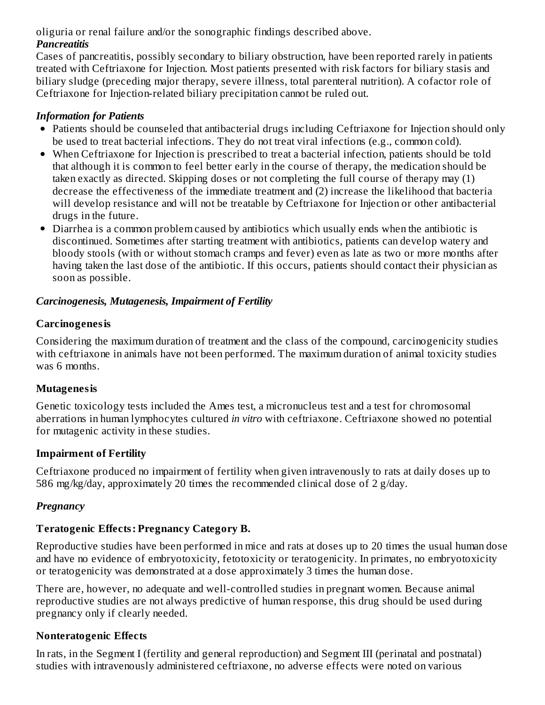oliguria or renal failure and/or the sonographic findings described above.

# *Pancreatitis*

Cases of pancreatitis, possibly secondary to biliary obstruction, have been reported rarely in patients treated with Ceftriaxone for Injection. Most patients presented with risk factors for biliary stasis and biliary sludge (preceding major therapy, severe illness, total parenteral nutrition). A cofactor role of Ceftriaxone for Injection-related biliary precipitation cannot be ruled out.

# *Information for Patients*

- Patients should be counseled that antibacterial drugs including Ceftriaxone for Injection should only be used to treat bacterial infections. They do not treat viral infections (e.g., common cold).
- When Ceftriaxone for Injection is prescribed to treat a bacterial infection, patients should be told that although it is common to feel better early in the course of therapy, the medication should be taken exactly as directed. Skipping doses or not completing the full course of therapy may (1) decrease the effectiveness of the immediate treatment and (2) increase the likelihood that bacteria will develop resistance and will not be treatable by Ceftriaxone for Injection or other antibacterial drugs in the future.
- Diarrhea is a common problem caused by antibiotics which usually ends when the antibiotic is discontinued. Sometimes after starting treatment with antibiotics, patients can develop watery and bloody stools (with or without stomach cramps and fever) even as late as two or more months after having taken the last dose of the antibiotic. If this occurs, patients should contact their physician as soon as possible.

# *Carcinogenesis, Mutagenesis, Impairment of Fertility*

# **Carcinogenesis**

Considering the maximum duration of treatment and the class of the compound, carcinogenicity studies with ceftriaxone in animals have not been performed. The maximum duration of animal toxicity studies was 6 months.

#### **Mutagenesis**

Genetic toxicology tests included the Ames test, a micronucleus test and a test for chromosomal aberrations in human lymphocytes cultured *in vitro* with ceftriaxone. Ceftriaxone showed no potential for mutagenic activity in these studies.

# **Impairment of Fertility**

Ceftriaxone produced no impairment of fertility when given intravenously to rats at daily doses up to 586 mg/kg/day, approximately 20 times the recommended clinical dose of 2 g/day.

# *Pregnancy*

# **Teratogenic Effects: Pregnancy Category B.**

Reproductive studies have been performed in mice and rats at doses up to 20 times the usual human dose and have no evidence of embryotoxicity, fetotoxicity or teratogenicity. In primates, no embryotoxicity or teratogenicity was demonstrated at a dose approximately 3 times the human dose.

There are, however, no adequate and well-controlled studies in pregnant women. Because animal reproductive studies are not always predictive of human response, this drug should be used during pregnancy only if clearly needed.

# **Nonteratogenic Effects**

In rats, in the Segment I (fertility and general reproduction) and Segment III (perinatal and postnatal) studies with intravenously administered ceftriaxone, no adverse effects were noted on various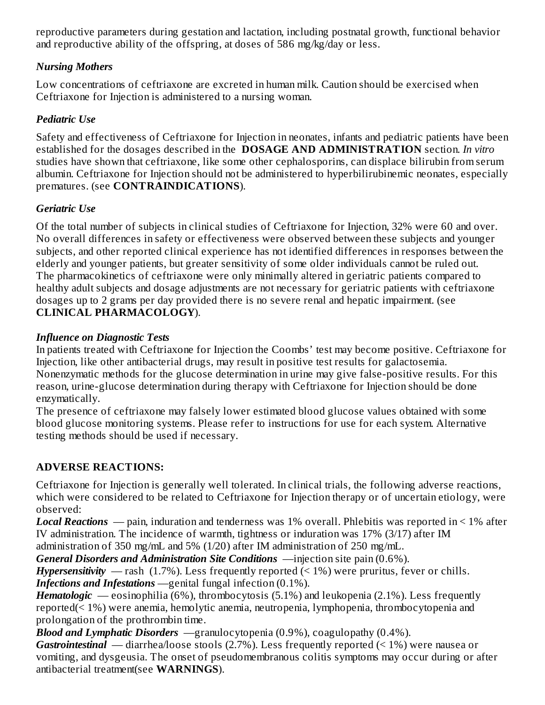reproductive parameters during gestation and lactation, including postnatal growth, functional behavior and reproductive ability of the offspring, at doses of 586 mg/kg/day or less.

# *Nursing Mothers*

Low concentrations of ceftriaxone are excreted in human milk. Caution should be exercised when Ceftriaxone for Injection is administered to a nursing woman.

# *Pediatric Use*

Safety and effectiveness of Ceftriaxone for Injection in neonates, infants and pediatric patients have been established for the dosages described in the **DOSAGE AND ADMINISTRATION** section. *In vitro* studies have shown that ceftriaxone, like some other cephalosporins, can displace bilirubin from serum albumin. Ceftriaxone for Injection should not be administered to hyperbilirubinemic neonates, especially prematures. (see **CONTRAINDICATIONS**).

# *Geriatric Use*

Of the total number of subjects in clinical studies of Ceftriaxone for Injection, 32% were 60 and over. No overall differences in safety or effectiveness were observed between these subjects and younger subjects, and other reported clinical experience has not identified differences in responses between the elderly and younger patients, but greater sensitivity of some older individuals cannot be ruled out. The pharmacokinetics of ceftriaxone were only minimally altered in geriatric patients compared to healthy adult subjects and dosage adjustments are not necessary for geriatric patients with ceftriaxone dosages up to 2 grams per day provided there is no severe renal and hepatic impairment. (see **CLINICAL PHARMACOLOGY**).

# *Influence on Diagnostic Tests*

In patients treated with Ceftriaxone for Injection the Coombs' test may become positive. Ceftriaxone for Injection, like other antibacterial drugs, may result in positive test results for galactosemia. Nonenzymatic methods for the glucose determination in urine may give false-positive results. For this reason, urine-glucose determination during therapy with Ceftriaxone for Injection should be done enzymatically.

The presence of ceftriaxone may falsely lower estimated blood glucose values obtained with some blood glucose monitoring systems. Please refer to instructions for use for each system. Alternative testing methods should be used if necessary.

# **ADVERSE REACTIONS:**

Ceftriaxone for Injection is generally well tolerated. In clinical trials, the following adverse reactions, which were considered to be related to Ceftriaxone for Injection therapy or of uncertain etiology, were observed:

*Local Reactions* — pain, induration and tenderness was 1% overall. Phlebitis was reported in < 1% after IV administration. The incidence of warmth, tightness or induration was 17% (3/17) after IM administration of 350 mg/mL and 5% (1/20) after IM administration of 250 mg/mL.

*General Disorders and Administration Site Conditions* —injection site pain (0.6%).

*Hypersensitivity* — rash  $(1.7\%)$ . Less frequently reported  $($  < 1%) were pruritus, fever or chills. *Infections and Infestations* —genital fungal infection (0.1%).

*Hematologic* — eosinophilia (6%), thrombocytosis (5.1%) and leukopenia (2.1%). Less frequently reported(< 1%) were anemia, hemolytic anemia, neutropenia, lymphopenia, thrombocytopenia and prolongation of the prothrombin time.

*Blood and Lymphatic Disorders* —granulocytopenia (0.9%), coagulopathy (0.4%).

*Gastrointestinal* — diarrhea/loose stools (2.7%). Less frequently reported (< 1%) were nausea or vomiting, and dysgeusia. The onset of pseudomembranous colitis symptoms may occur during or after antibacterial treatment(see **WARNINGS**).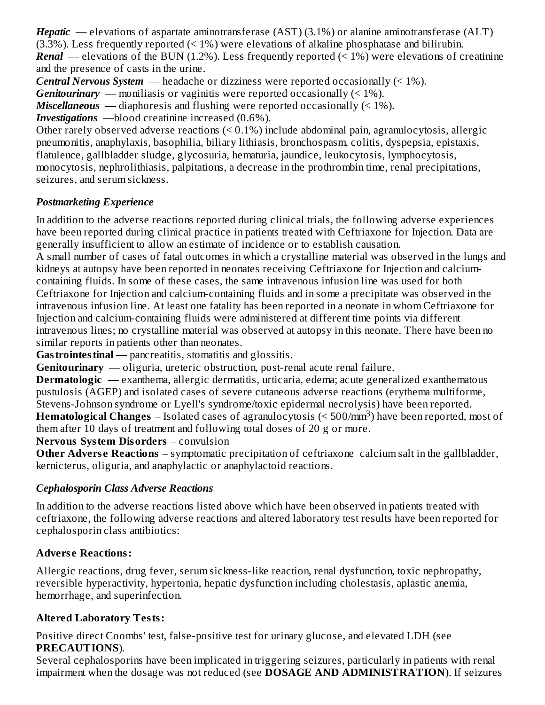*Hepatic* — elevations of aspartate aminotransferase (AST) (3.1%) or alanine aminotransferase (ALT)  $(3.3\%)$ . Less frequently reported  $(1\%)$  were elevations of alkaline phosphatase and bilirubin. *Renal* — elevations of the BUN (1.2%). Less frequently reported (< 1%) were elevations of creatinine and the presence of casts in the urine.

*Central Nervous System* — headache or dizziness were reported occasionally (< 1%).

*Genitourinary* — moniliasis or vaginitis were reported occasionally  $($  < 1%).

*Miscellaneous* — diaphoresis and flushing were reported occasionally (< 1%).

*Investigations* —blood creatinine increased (0.6%).

Other rarely observed adverse reactions (< 0.1%) include abdominal pain, agranulocytosis, allergic pneumonitis, anaphylaxis, basophilia, biliary lithiasis, bronchospasm, colitis, dyspepsia, epistaxis, flatulence, gallbladder sludge, glycosuria, hematuria, jaundice, leukocytosis, lymphocytosis, monocytosis, nephrolithiasis, palpitations, a decrease in the prothrombin time, renal precipitations, seizures, and serum sickness.

# *Postmarketing Experience*

In addition to the adverse reactions reported during clinical trials, the following adverse experiences have been reported during clinical practice in patients treated with Ceftriaxone for Injection. Data are generally insufficient to allow an estimate of incidence or to establish causation.

A small number of cases of fatal outcomes in which a crystalline material was observed in the lungs and kidneys at autopsy have been reported in neonates receiving Ceftriaxone for Injection and calciumcontaining fluids. In some of these cases, the same intravenous infusion line was used for both Ceftriaxone for Injection and calcium-containing fluids and in some a precipitate was observed in the intravenous infusion line. At least one fatality has been reported in a neonate in whom Ceftriaxone for Injection and calcium-containing fluids were administered at different time points via different intravenous lines; no crystalline material was observed at autopsy in this neonate. There have been no similar reports in patients other than neonates.

Gas trointes tinal — pancreatitis, stomatitis and glossitis.

**Genitourinary** — oliguria, ureteric obstruction, post-renal acute renal failure.

**Dermatologic** — exanthema, allergic dermatitis, urticaria, edema; acute generalized exanthematous pustulosis (AGEP) and isolated cases of severe cutaneous adverse reactions (erythema multiforme, Stevens-Johnson syndrome or Lyell's syndrome/toxic epidermal necrolysis) have been reported. **Hematological Changes** – Isolated cases of agranulocytosis (< 500/mm<sup>3</sup>) have been reported, most of them after 10 days of treatment and following total doses of 20 g or more.

**Nervous System Disorders** – convulsion

**Other Adverse Reactions** – symptomatic precipitation of ceftriaxone calcium salt in the gallbladder, kernicterus, oliguria, and anaphylactic or anaphylactoid reactions.

# *Cephalosporin Class Adverse Reactions*

In addition to the adverse reactions listed above which have been observed in patients treated with ceftriaxone, the following adverse reactions and altered laboratory test results have been reported for cephalosporin class antibiotics:

# **Advers e Reactions:**

Allergic reactions, drug fever, serum sickness-like reaction, renal dysfunction, toxic nephropathy, reversible hyperactivity, hypertonia, hepatic dysfunction including cholestasis, aplastic anemia, hemorrhage, and superinfection.

# **Altered Laboratory Tests:**

Positive direct Coombs' test, false-positive test for urinary glucose, and elevated LDH (see **PRECAUTIONS**).

Several cephalosporins have been implicated in triggering seizures, particularly in patients with renal impairment when the dosage was not reduced (see **DOSAGE AND ADMINISTRATION**). If seizures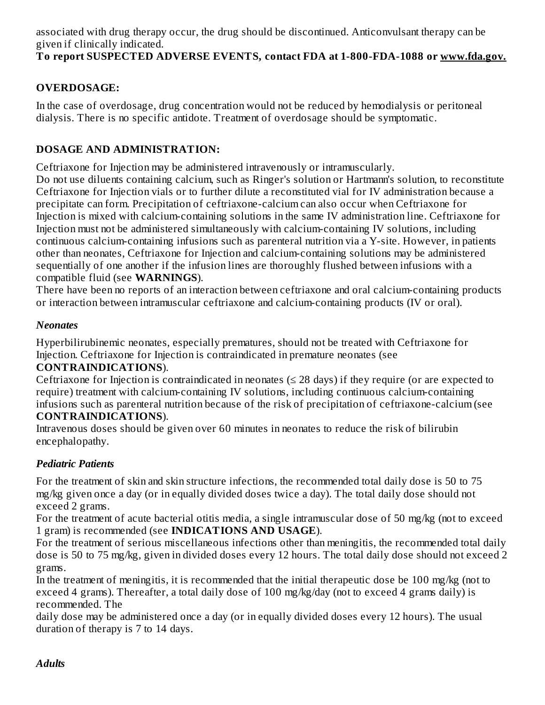associated with drug therapy occur, the drug should be discontinued. Anticonvulsant therapy can be given if clinically indicated.

# **To report SUSPECTED ADVERSE EVENTS, contact FDA at 1-800-FDA-1088 or www.fda.gov.**

# **OVERDOSAGE:**

In the case of overdosage, drug concentration would not be reduced by hemodialysis or peritoneal dialysis. There is no specific antidote. Treatment of overdosage should be symptomatic.

# **DOSAGE AND ADMINISTRATION:**

Ceftriaxone for Injection may be administered intravenously or intramuscularly.

Do not use diluents containing calcium, such as Ringer's solution or Hartmann's solution, to reconstitute Ceftriaxone for Injection vials or to further dilute a reconstituted vial for IV administration because a precipitate can form. Precipitation of ceftriaxone-calcium can also occur when Ceftriaxone for Injection is mixed with calcium-containing solutions in the same IV administration line. Ceftriaxone for Injection must not be administered simultaneously with calcium-containing IV solutions, including continuous calcium-containing infusions such as parenteral nutrition via a Y-site. However, in patients other than neonates, Ceftriaxone for Injection and calcium-containing solutions may be administered sequentially of one another if the infusion lines are thoroughly flushed between infusions with a compatible fluid (see **WARNINGS**).

There have been no reports of an interaction between ceftriaxone and oral calcium-containing products or interaction between intramuscular ceftriaxone and calcium-containing products (IV or oral).

#### *Neonates*

Hyperbilirubinemic neonates, especially prematures, should not be treated with Ceftriaxone for Injection. Ceftriaxone for Injection is contraindicated in premature neonates (see

#### **CONTRAINDICATIONS**).

Ceftriaxone for Injection is contraindicated in neonates  $(\leq 28 \text{ days})$  if they require (or are expected to require) treatment with calcium-containing IV solutions, including continuous calcium-containing infusions such as parenteral nutrition because of the risk of precipitation of ceftriaxone-calcium (see **CONTRAINDICATIONS**).

Intravenous doses should be given over 60 minutes in neonates to reduce the risk of bilirubin encephalopathy.

#### *Pediatric Patients*

For the treatment of skin and skin structure infections, the recommended total daily dose is 50 to 75 mg/kg given once a day (or in equally divided doses twice a day). The total daily dose should not exceed 2 grams.

For the treatment of acute bacterial otitis media, a single intramuscular dose of 50 mg/kg (not to exceed 1 gram) is recommended (see **INDICATIONS AND USAGE**).

For the treatment of serious miscellaneous infections other than meningitis, the recommended total daily dose is 50 to 75 mg/kg, given in divided doses every 12 hours. The total daily dose should not exceed 2 grams.

In the treatment of meningitis, it is recommended that the initial therapeutic dose be 100 mg/kg (not to exceed 4 grams). Thereafter, a total daily dose of 100 mg/kg/day (not to exceed 4 grams daily) is recommended. The

daily dose may be administered once a day (or in equally divided doses every 12 hours). The usual duration of therapy is 7 to 14 days.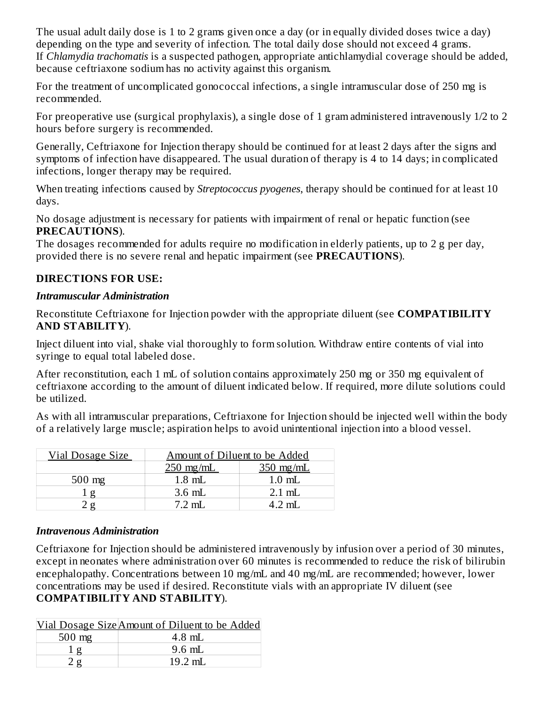The usual adult daily dose is 1 to 2 grams given once a day (or in equally divided doses twice a day) depending on the type and severity of infection. The total daily dose should not exceed 4 grams. If *Chlamydia trachomatis* is a suspected pathogen, appropriate antichlamydial coverage should be added, because ceftriaxone sodium has no activity against this organism.

For the treatment of uncomplicated gonococcal infections, a single intramuscular dose of 250 mg is recommended.

For preoperative use (surgical prophylaxis), a single dose of 1 gram administered intravenously 1/2 to 2 hours before surgery is recommended.

Generally, Ceftriaxone for Injection therapy should be continued for at least 2 days after the signs and symptoms of infection have disappeared. The usual duration of therapy is 4 to 14 days; in complicated infections, longer therapy may be required.

When treating infections caused by *Streptococcus pyogenes*, therapy should be continued for at least 10 days.

No dosage adjustment is necessary for patients with impairment of renal or hepatic function (see **PRECAUTIONS**).

The dosages recommended for adults require no modification in elderly patients, up to 2 g per day, provided there is no severe renal and hepatic impairment (see **PRECAUTIONS**).

# **DIRECTIONS FOR USE:**

#### *Intramuscular Administration*

Reconstitute Ceftriaxone for Injection powder with the appropriate diluent (see **COMPATIBILITY AND STABILITY**).

Inject diluent into vial, shake vial thoroughly to form solution. Withdraw entire contents of vial into syringe to equal total labeled dose.

After reconstitution, each 1 mL of solution contains approximately 250 mg or 350 mg equivalent of ceftriaxone according to the amount of diluent indicated below. If required, more dilute solutions could be utilized.

As with all intramuscular preparations, Ceftriaxone for Injection should be injected well within the body of a relatively large muscle; aspiration helps to avoid unintentional injection into a blood vessel.

| Vial Dosage Size | Amount of Diluent to be Added |             |  |  |  |
|------------------|-------------------------------|-------------|--|--|--|
|                  | $250$ mg/mL                   | $350$ mg/mL |  |  |  |
| $500$ mg         | $1.8$ mL                      | $1.0$ mL    |  |  |  |
|                  | $3.6$ mL                      | $2.1$ mL    |  |  |  |
|                  | $7.2 \text{ mL}$              | 4 2 mL      |  |  |  |

#### *Intravenous Administration*

Ceftriaxone for Injection should be administered intravenously by infusion over a period of 30 minutes, except in neonates where administration over 60 minutes is recommended to reduce the risk of bilirubin encephalopathy. Concentrations between 10 mg/mL and 40 mg/mL are recommended; however, lower concentrations may be used if desired. Reconstitute vials with an appropriate IV diluent (see **COMPATIBILITY AND STABILITY**).

|                  | Vial Dosage Size Amount of Diluent to be Added |
|------------------|------------------------------------------------|
| $500 \text{ mg}$ | $4.8$ mL                                       |
|                  | $9.6$ mL                                       |
|                  | $19.2 \text{ mL}$                              |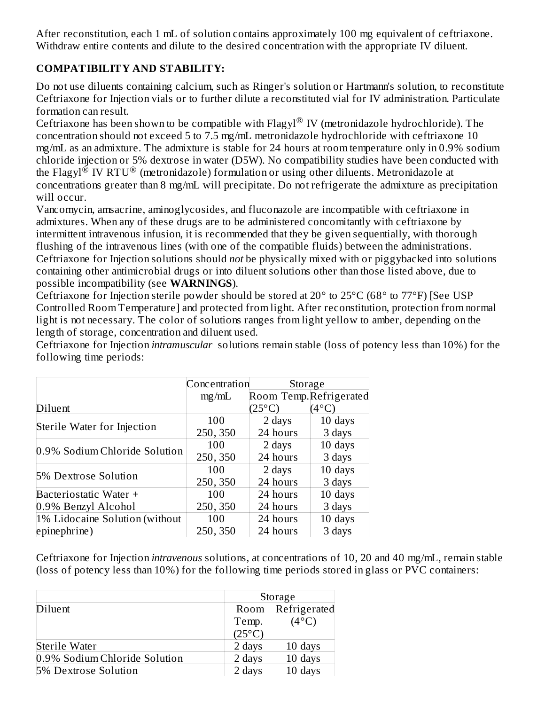After reconstitution, each 1 mL of solution contains approximately 100 mg equivalent of ceftriaxone. Withdraw entire contents and dilute to the desired concentration with the appropriate IV diluent.

# **COMPATIBILITY AND STABILITY:**

Do not use diluents containing calcium, such as Ringer's solution or Hartmann's solution, to reconstitute Ceftriaxone for Injection vials or to further dilute a reconstituted vial for IV administration. Particulate formation can result.

Ceftriaxone has been shown to be compatible with Flagyl $^{\circledR}$  IV (metronidazole hydrochloride). The concentration should not exceed 5 to 7.5 mg/mL metronidazole hydrochloride with ceftriaxone 10 mg/mL as an admixture. The admixture is stable for 24 hours at room temperature only in 0.9% sodium chloride injection or 5% dextrose in water (D5W). No compatibility studies have been conducted with the Flagyl $^{\circledR}$  IV RTU $^{\circledR}$  (metronidazole) formulation or using other diluents. Metronidazole at concentrations greater than 8 mg/mL will precipitate. Do not refrigerate the admixture as precipitation will occur.

Vancomycin, amsacrine, aminoglycosides, and fluconazole are incompatible with ceftriaxone in admixtures. When any of these drugs are to be administered concomitantly with ceftriaxone by intermittent intravenous infusion, it is recommended that they be given sequentially, with thorough flushing of the intravenous lines (with one of the compatible fluids) between the administrations. Ceftriaxone for Injection solutions should *not* be physically mixed with or piggybacked into solutions containing other antimicrobial drugs or into diluent solutions other than those listed above, due to possible incompatibility (see **WARNINGS**).

Ceftriaxone for Injection sterile powder should be stored at 20° to 25°C (68° to 77°F) [See USP Controlled Room Temperature] and protected from light. After reconstitution, protection from normal light is not necessary. The color of solutions ranges from light yellow to amber, depending on the length of storage, concentration and diluent used.

Ceftriaxone for Injection *intramuscular* solutions remain stable (loss of potency less than 10%) for the following time periods:

|                                | Concentration | Storage                |                |
|--------------------------------|---------------|------------------------|----------------|
|                                | mg/mL         | Room Temp.Refrigerated |                |
| Diluent                        |               | $(25^{\circ}C)$        | $(4^{\circ}C)$ |
| Sterile Water for Injection    | 100           | 2 days                 | 10 days        |
|                                | 250, 350      | 24 hours               | 3 days         |
|                                | 100           | 2 days                 | 10 days        |
| 0.9% Sodium Chloride Solution  | 250, 350      | 24 hours               | 3 days         |
|                                | 100           | 2 days                 | 10 days        |
| 5% Dextrose Solution           | 250, 350      | 24 hours               | 3 days         |
| Bacteriostatic Water +         | 100           | 24 hours               | 10 days        |
| 0.9% Benzyl Alcohol            | 250, 350      | 24 hours               | 3 days         |
| 1% Lidocaine Solution (without | 100           | 24 hours               | 10 days        |
| epinephrine)                   | 250, 350      | 24 hours               | 3 days         |

Ceftriaxone for Injection *intravenous* solutions, at concentrations of 10, 20 and 40 mg/mL, remain stable (loss of potency less than 10%) for the following time periods stored in glass or PVC containers:

|                               |                 | Storage        |
|-------------------------------|-----------------|----------------|
| Diluent                       | Room            | Refrigerated   |
|                               | Temp.           | $(4^{\circ}C)$ |
|                               | $(25^{\circ}C)$ |                |
| Sterile Water                 | 2 days          | 10 days        |
| 0.9% Sodium Chloride Solution | 2 days          | 10 days        |
| 5% Dextrose Solution          | 2 days          | 10 days        |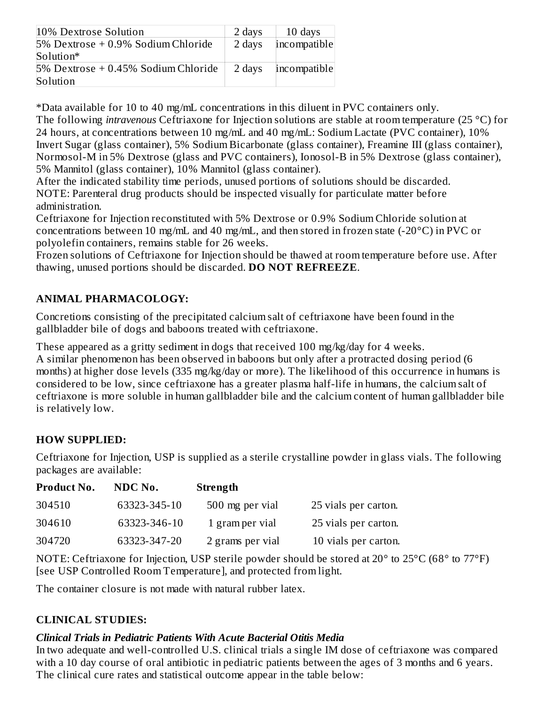| 10% Dextrose Solution                  | 2 days | 10 days      |
|----------------------------------------|--------|--------------|
| 5% Dextrose + 0.9% Sodium Chloride     | 2 days | incompatible |
| Solution*                              |        |              |
| $5\%$ Dextrose + 0.45% Sodium Chloride | 2 days | incompatible |
| Solution                               |        |              |

\*Data available for 10 to 40 mg/mL concentrations in this diluent in PVC containers only.

The following *intravenous* Ceftriaxone for Injection solutions are stable at room temperature (25 °C) for 24 hours, at concentrations between 10 mg/mL and 40 mg/mL: Sodium Lactate (PVC container), 10% Invert Sugar (glass container), 5% Sodium Bicarbonate (glass container), Freamine III (glass container), Normosol-M in 5% Dextrose (glass and PVC containers), Ionosol-B in 5% Dextrose (glass container), 5% Mannitol (glass container), 10% Mannitol (glass container).

After the indicated stability time periods, unused portions of solutions should be discarded. NOTE: Parenteral drug products should be inspected visually for particulate matter before administration.

Ceftriaxone for Injection reconstituted with 5% Dextrose or 0.9% Sodium Chloride solution at concentrations between 10 mg/mL and 40 mg/mL, and then stored in frozen state (-20°C) in PVC or polyolefin containers, remains stable for 26 weeks.

Frozen solutions of Ceftriaxone for Injection should be thawed at room temperature before use. After thawing, unused portions should be discarded. **DO NOT REFREEZE**.

# **ANIMAL PHARMACOLOGY:**

Concretions consisting of the precipitated calcium salt of ceftriaxone have been found in the gallbladder bile of dogs and baboons treated with ceftriaxone.

These appeared as a gritty sediment in dogs that received 100 mg/kg/day for 4 weeks. A similar phenomenon has been observed in baboons but only after a protracted dosing period (6 months) at higher dose levels (335 mg/kg/day or more). The likelihood of this occurrence in humans is considered to be low, since ceftriaxone has a greater plasma half-life in humans, the calcium salt of ceftriaxone is more soluble in human gallbladder bile and the calcium content of human gallbladder bile is relatively low.

# **HOW SUPPLIED:**

Ceftriaxone for Injection, USP is supplied as a sterile crystalline powder in glass vials. The following packages are available:

| Product No. | NDC No.      | <b>Strength</b>  |                      |
|-------------|--------------|------------------|----------------------|
| 304510      | 63323-345-10 | 500 mg per vial  | 25 vials per carton. |
| 304610      | 63323-346-10 | 1 gram per vial  | 25 vials per carton. |
| 304720      | 63323-347-20 | 2 grams per vial | 10 vials per carton. |

NOTE: Ceftriaxone for Injection, USP sterile powder should be stored at 20° to 25°C (68° to 77°F) [see USP Controlled Room Temperature], and protected from light.

The container closure is not made with natural rubber latex.

# **CLINICAL STUDIES:**

#### *Clinical Trials in Pediatric Patients With Acute Bacterial Otitis Media*

In two adequate and well-controlled U.S. clinical trials a single IM dose of ceftriaxone was compared with a 10 day course of oral antibiotic in pediatric patients between the ages of 3 months and 6 years. The clinical cure rates and statistical outcome appear in the table below: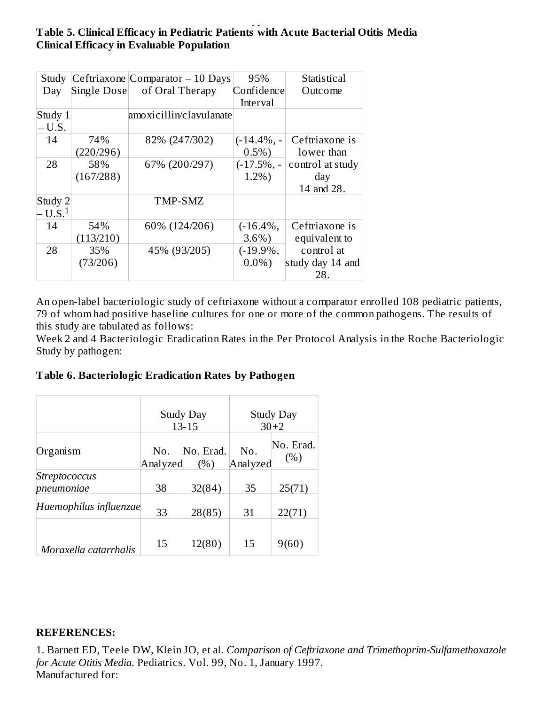#### The clinical cure rates and statistical outcome appear in the table below:  $\frac{1}{\sqrt{2}}$ **Table 5. Clinical Efficacy in Pediatric Patients with Acute Bacterial Otitis Media Clinical Efficacy in Evaluable Population**

| Study             |             | Ceftriaxone Comparator $-10$ Days | 95%           | Statistical      |
|-------------------|-------------|-----------------------------------|---------------|------------------|
| Day               | Single Dose | of Oral Therapy                   | Confidence    | Outcome          |
|                   |             |                                   | Interval      |                  |
| Study 1           |             | amoxicillin/clavulanate           |               |                  |
| $- U.S.$          |             |                                   |               |                  |
| 14                | 74%         | 82% (247/302)                     | $(-14.4\%, -$ | Ceftriaxone is   |
|                   | (220/296)   |                                   | $0.5\%)$      | lower than       |
| 28                | 58%         | 67% (200/297)                     | $(-17.5\%,-$  | control at study |
|                   | (167/288)   |                                   | 1.2%          | day              |
|                   |             |                                   |               | 14 and 28.       |
| Study 2           |             | TMP-SMZ                           |               |                  |
| U.S. <sup>1</sup> |             |                                   |               |                  |
| 14                | 54%         | 60% (124/206)                     | $(-16.4\%,$   | Ceftriaxone is   |
|                   | (113/210)   |                                   | $3.6\%$ )     | equivalent to    |
| 28                | 35%         | 45% (93/205)                      | $(-19.9\%,$   | control at       |
|                   | (73/206)    |                                   | $0.0\%$       | study day 14 and |
|                   |             |                                   |               | 28.              |

An open-label bacteriologic study of ceftriaxone without a comparator enrolled 108 pediatric patients, 79 of whom had positive baseline cultures for one or more of the common pathogens. The results of this study are tabulated as follows:

Week 2 and 4 Bacteriologic Eradication Rates in the Per Protocol Analysis in the Roche Bacteriologic Study by pathogen:

|  |  | Table 6. Bacteriologic Eradication Rates by Pathogen |
|--|--|------------------------------------------------------|

|                             | <b>Study Day</b><br>$13 - 15$ |                   | <b>Study Day</b><br>$30+2$ |                  |  |
|-----------------------------|-------------------------------|-------------------|----------------------------|------------------|--|
| Organism                    | No.<br>Analyzed               | No. Erad.<br>(% ) | No.<br>Analyzed            | No. Erad.<br>(%) |  |
| Streptococcus<br>pneumoniae | 38                            | 32(84)            | 35                         | 25(71)           |  |
| Haemophilus influenzae      | 33                            | 28(85)            | 31                         | 22(71)           |  |
| Moraxella catarrhalis       | 15                            | 12(80)            | 15                         | 9(60)            |  |

#### **REFERENCES:**

1. Barnett ED, Teele DW, Klein JO, et al. *Comparison of Ceftriaxone and Trimethoprim-Sulfamethoxazole for Acute Otitis Media.* Pediatrics. Vol. 99, No. 1, January 1997. Manufactured for: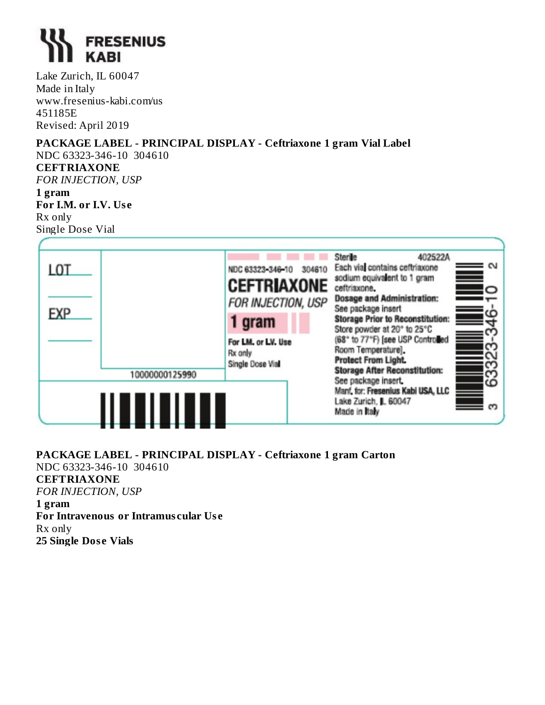

Lake Zurich, IL 60047 Made in Italy www.fresenius-kabi.com/us 451185E Revised: April 2019

# **PACKAGE LABEL - PRINCIPAL DISPLAY - Ceftriaxone 1 gram Vial Label**

NDC 63323-346-10 304610 **CEFTRIAXONE** *FOR INJECTION, USP*

**1 gram For I.M. or I.V. Us e** Rx only Single Dose Vial



#### **PACKAGE LABEL - PRINCIPAL DISPLAY - Ceftriaxone 1 gram Carton** NDC 63323-346-10 304610 **CEFTRIAXONE** *FOR INJECTION, USP* **1 gram For Intravenous or Intramus cular Us e** Rx only **25 Single Dos e Vials**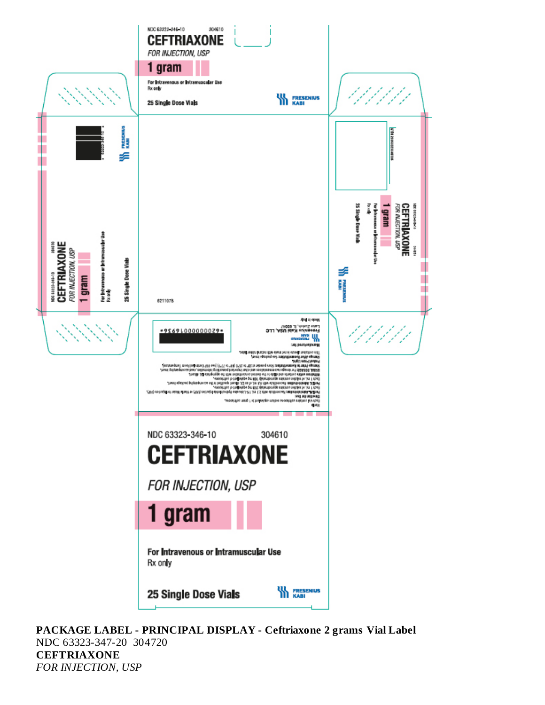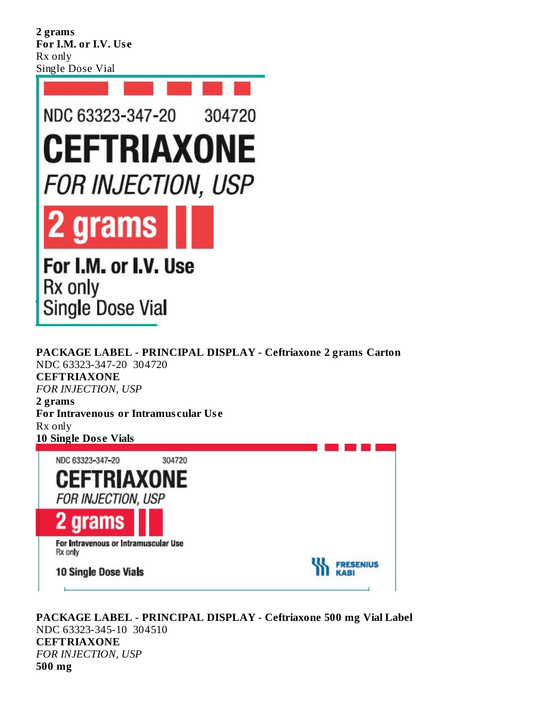**2 grams For I.M. or I.V. Us e** Rx only Single Dose Vial

10 Single Dose Vials

![](_page_18_Picture_1.jpeg)

**PACKAGE LABEL - PRINCIPAL DISPLAY - Ceftriaxone 2 grams Carton** NDC 63323-347-20 304720 **CEFTRIAXONE** *FOR INJECTION, USP* **2 grams For Intravenous or Intramus cular Us e** Rx only **10 Single Dos e Vials** NDC 63323-347-20 304720 **CEFTRIAXONE FOR INJECTION, USP** 2 grams For Intravenous or Intramuscular Use Rx only **FRESENIUS** 

**PACKAGE LABEL - PRINCIPAL DISPLAY - Ceftriaxone 500 mg Vial Label** NDC 63323-345-10 304510 **CEFTRIAXONE** *FOR INJECTION, USP* **500 mg**

**KABI**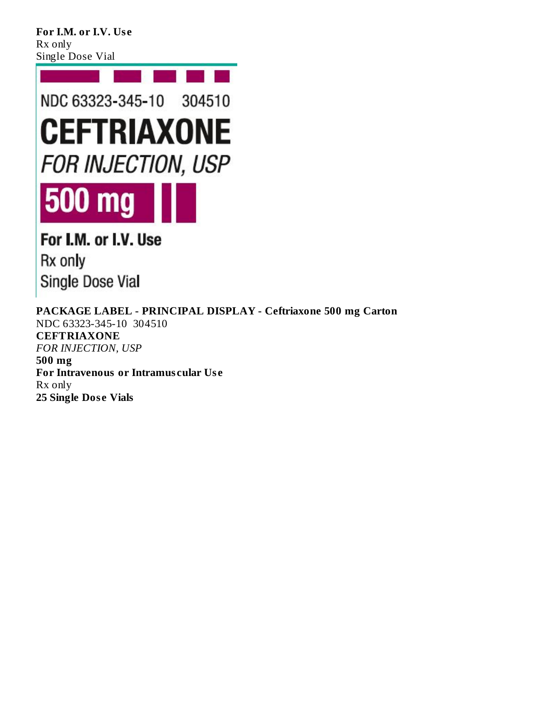**For I.M. or I.V. Us e** Rx only Single Dose Vial

![](_page_19_Picture_1.jpeg)

For I.M. or I.V. Use Rx only Single Dose Vial

**PACKAGE LABEL - PRINCIPAL DISPLAY - Ceftriaxone 500 mg Carton** NDC 63323-345-10 304510 **CEFTRIAXONE** *FOR INJECTION, USP* **500 mg For Intravenous or Intramus cular Us e** Rx only **25 Single Dos e Vials**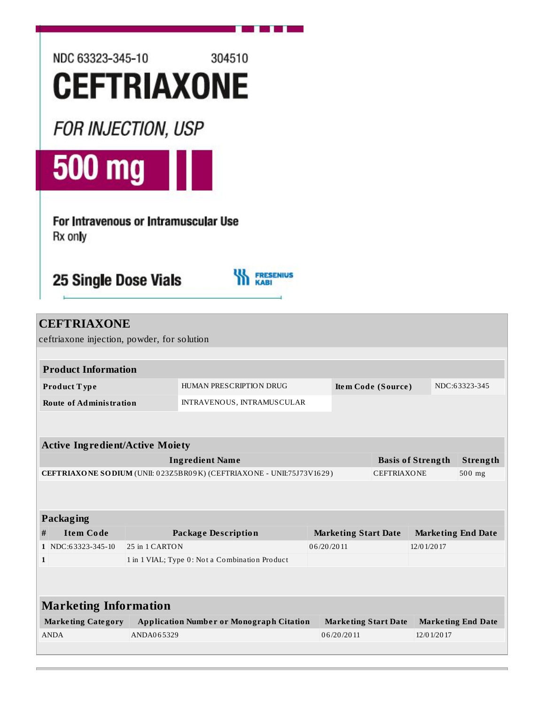![](_page_20_Picture_0.jpeg)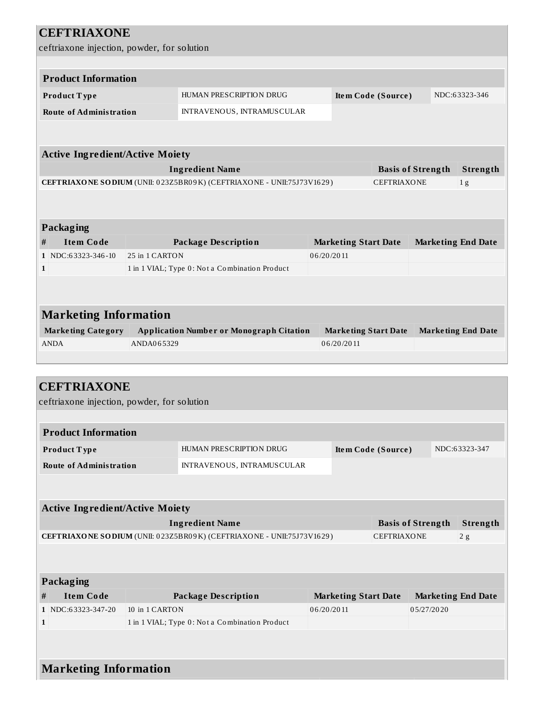| <b>CEFTRIAXONE</b>                          |                                                                                                 |            |                             |                                                                  |                           |
|---------------------------------------------|-------------------------------------------------------------------------------------------------|------------|-----------------------------|------------------------------------------------------------------|---------------------------|
| ceftriaxone injection, powder, for solution |                                                                                                 |            |                             |                                                                  |                           |
|                                             |                                                                                                 |            |                             |                                                                  |                           |
| <b>Product Information</b>                  |                                                                                                 |            |                             |                                                                  |                           |
| Product Type                                | HUMAN PRESCRIPTION DRUG                                                                         |            | Item Code (Source)          |                                                                  | NDC:63323-346             |
| <b>Route of Administration</b>              | INTRAVENOUS, INTRAMUSCULAR                                                                      |            |                             |                                                                  |                           |
|                                             |                                                                                                 |            |                             |                                                                  |                           |
|                                             |                                                                                                 |            |                             |                                                                  |                           |
| <b>Active Ingredient/Active Moiety</b>      |                                                                                                 |            |                             |                                                                  |                           |
|                                             | <b>Ingredient Name</b>                                                                          |            |                             | <b>Basis of Strength</b>                                         | Strength                  |
|                                             | CEFTRIAXONE SODIUM (UNII: 023Z5BR09K) (CEFTRIAXONE - UNII:75J73V1629)                           |            | <b>CEFTRIAXONE</b>          |                                                                  | 1 <sub>g</sub>            |
|                                             |                                                                                                 |            |                             |                                                                  |                           |
|                                             |                                                                                                 |            |                             |                                                                  |                           |
| Packaging                                   |                                                                                                 |            |                             |                                                                  |                           |
| <b>Item Code</b><br>#                       | <b>Package Description</b>                                                                      |            | <b>Marketing Start Date</b> | <b>Marketing End Date</b>                                        |                           |
| 1 NDC:63323-346-10                          | 25 in 1 CARTON                                                                                  | 06/20/2011 |                             |                                                                  |                           |
| $\mathbf{1}$                                | 1 in 1 VIAL; Type 0: Not a Combination Product                                                  |            |                             |                                                                  |                           |
|                                             |                                                                                                 |            |                             |                                                                  |                           |
|                                             |                                                                                                 |            |                             |                                                                  |                           |
| <b>Marketing Information</b>                |                                                                                                 |            |                             |                                                                  |                           |
| <b>Marketing Category</b>                   | <b>Application Number or Monograph Citation</b>                                                 |            | <b>Marketing Start Date</b> |                                                                  | <b>Marketing End Date</b> |
| <b>ANDA</b>                                 | ANDA065329                                                                                      |            | 06/20/2011                  |                                                                  |                           |
|                                             |                                                                                                 |            |                             |                                                                  |                           |
|                                             |                                                                                                 |            |                             |                                                                  |                           |
| <b>CEFTRIAXONE</b>                          |                                                                                                 |            |                             |                                                                  |                           |
| ceftriaxone injection, powder, for solution |                                                                                                 |            |                             |                                                                  |                           |
| <b>Product Information</b>                  |                                                                                                 |            |                             |                                                                  |                           |
|                                             |                                                                                                 |            |                             |                                                                  |                           |
| Product Type                                | HUMAN PRESCRIPTION DRUG                                                                         |            | Item Code (Source)          |                                                                  | NDC:63323-347             |
| <b>Route of Administration</b>              | INTRAVENOUS, INTRAMUSCULAR                                                                      |            |                             |                                                                  |                           |
|                                             |                                                                                                 |            |                             |                                                                  |                           |
|                                             |                                                                                                 |            |                             |                                                                  |                           |
| <b>Active Ingredient/Active Moiety</b>      |                                                                                                 |            |                             |                                                                  |                           |
|                                             | <b>Ingredient Name</b><br>CEFTRIAXONE SODIUM (UNII: 023Z5BR09K) (CEFTRIAXONE - UNII:75J73V1629) |            |                             | <b>Basis of Strength</b><br>Strength<br><b>CEFTRIAXONE</b><br>2g |                           |
|                                             |                                                                                                 |            |                             |                                                                  |                           |
|                                             |                                                                                                 |            |                             |                                                                  |                           |
| Packaging                                   |                                                                                                 |            |                             |                                                                  |                           |
| <b>Item Code</b><br>#                       | <b>Package Description</b>                                                                      |            |                             |                                                                  |                           |
| 1 NDC:63323-347-20                          | 10 in 1 CARTON                                                                                  | 06/20/2011 | <b>Marketing Start Date</b> | <b>Marketing End Date</b><br>05/27/2020                          |                           |
| $\mathbf{1}$                                | 1 in 1 VIAL; Type 0: Not a Combination Product                                                  |            |                             |                                                                  |                           |
|                                             |                                                                                                 |            |                             |                                                                  |                           |
|                                             |                                                                                                 |            |                             |                                                                  |                           |
| <b>Marketing Information</b>                |                                                                                                 |            |                             |                                                                  |                           |
|                                             |                                                                                                 |            |                             |                                                                  |                           |